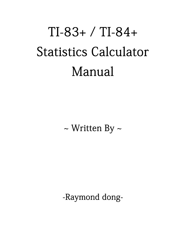# TI-83+ / TI-84+ Statistics Calculator Manual

 $\sim$  Written By  $\sim$ 

-Raymond dong-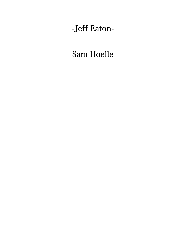# -Jeff Eaton-

-Sam Hoelle-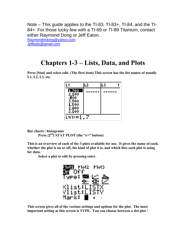Note – This guide applies to the TI-83, TI-83+, TI-84, and the TI-84+. For those lucky few with a TI-89 or TI-89 Titanium, contact either Raymond Dong or Jeff Eaton.

Raymondmdong@yahoo.com Jeffeats@gmail.com

# **Chapters 1-3 – Lists, Data, and Plots**

**Press [Stat] and select edit. (The first item) This screen has the list names of usually L1, L2, L3, etc.** 

| L1                                                      | LZ | 3 |  |
|---------------------------------------------------------|----|---|--|
| ۴J<br>2.100<br>.800<br>3.500<br>1.500<br>2.600<br>2.100 |    |   |  |
| ┓<br>$L1(1) = 1$                                        |    |   |  |

**Bar charts / histograms Press**  $[2^{nd}]$  **STAT PLOT** (the "y=" button)

**This is an overview of each of the 3 plots available for use. It gives the name of each, whether the plot is on or off, the kind of plot it is, and which lists each plot is using for data.** 

 **Select a plot to edit by pressing enter.** 



**This screen gives all of the various settings and options for the plot. The most important setting at this screen is TYPE. You can choose between a dot plot /**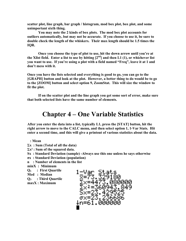**scatter plot, line graph, bar graph / histogram, mod box plot, box plot, and some unimportant sixth thing.** 

 **You may note the 2 kinds of box plots. The mod box plot accounts for outliers automatically, but may not be accurate. If you choose to use it, be sure to double check the length of the whiskers. Their max length should be 1.5 times the IQR.** 

 **Once you choose the type of plot to use, hit the down arrow until you're at**  the Xlist field. Enter a list to use by hitting  $[2<sup>nd</sup>]$  and then L1 (1), or whichever list **you want to use. If you're using a plot with a field named "Freq", leave it at 1 and don't mess with it.** 

**Once you have the lists selected and everything is good to go, you can go to the [GRAPH] button and look at the plot. However, a better thing to do would be to go to the [ZOOM] button and select option 9, ZoomStat. This will size the window to fit the plot.** 

 **If on the scatter plot and the line graph you get some sort of error, make sure that both selected lists have the same number of elements.** 

#### **Chapter 4 – One Variable Statistics**

**After you enter the data into a list, typically L1, press the [STAT] button, hit the right arrow to move to the CALC menu, and then select option 1, 1-Var Stats. Hit enter a second time, and this will give a printout of various statistics about the data.** 

 **: Mean** 

**Σx : Sum (Total of all the data)** 

- **Σx² : Sum of the squared data.**
- **Sx : Standard Deviation (sample) -Always use this one unless he says otherwise**
- **σx : Standard Deviation (population)**
- **n : Number of elements in the list**

**minX : Minimum** 

- **Q1 : First Quartile**
- **Med : Median**

**Q3 : Third Quartile maxX : Maximum** 

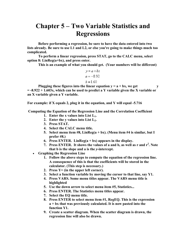# **Chapter 5 – Two Variable Statistics and Regressions**

 **Before performing a regression, be sure to have the data entered into two lists already. Be sure to use L1 and L2, or else you're going to make things much too complicated.** 

 **To perform a linear regression, press STAT, go to the CALC menu, select option 8: LinReg(a+bx), and press enter.** 

 **This is an example of what you should get. (Your numbers will be different)** 

$$
y = a + bx
$$
  

$$
a = -8.92
$$
  

$$
b = 1.60
$$

**Plugging these figures into the linear equation**  $y = a + bx$ **, we get = -8.922 + 1.603x, which can be used to predict a Y variable given the X variable or an X variable given a Y variable.** 

**For example: if X equals 2, plug it in the equation, and Y will equal -5.716** 

 **Computing the Equation of the Regression Line and the Correlation Coefficient** 

- **1. Enter the x values into List L1.**
- **2. Enter the y values into List L2.**
- **3. Press STAT.**
- **4. Select the CALC menu title.**
- **5. Select menu item #8, LinReg(a + bx). (Menu item #4 is similar, but I prefer #8.)**
- **6. Press ENTER. LinReg(a + bx) appears in the display.**
- **7. Press ENTER. It shows the values of a and b, as well as r and r<sup>2</sup> . Note that b is the slope and a is the** *y***-intercept.**
- **Graphing the Regression Line** 
	- **1. Follow the above steps to compute the equation of the regression line. A consequence of this is that the coefficients will be stored in the calculator. (This step is necessary.)**
	- **2. Press Y= (in the upper left corner).**
	- **3. Select a function variable by moving the cursor to that line, say Y1.**
	- **4. Press VARS. Some menu titles appear. The VARS menu title is highlighted**
	- **5. Use the down arrow to select menu item #5, Statistics...**
	- **6. Press ENTER. The Statistics menu titles appear.**
	- **7. Select the EQ menu title.**
	- **8. Press ENTER to select menu item #1, RegEQ. This is the expression a + bx that was previously calculated. It is now pasted into the function Y1.**
	- **9. Create a scatter diagram. When the scatter diagram is drawn, the regression line will also be drawn.**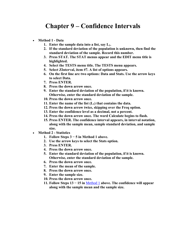### **Chapter 9 – Confidence Intervals**

- **Method 1 Data** 
	- **1. Enter the sample data into a list, say**  $L_1$ **.**
	- **2. If the standard deviation of the population is unknown, then find the standard deviation of the sample. Record this number.**
	- **3. Press STAT. The STAT menus appear and the EDIT menu title is highlighted.**
	- **4. Select the TESTS menu title. The TESTS menu appears.**
	- **5. Select ZInterval, item #7. A list of options appears.**
	- **6. On the first line are two options: Data and Stats. Use the arrow keys to select Data.**
	- **7. Press ENTER.**
	- **8. Press the down arrow once.**
	- **9. Enter the standard deviation of the population, if it is known. Otherwise, enter the standard deviation of the sample.**
	- **10. Press the down arrow once.**
	- **11.** Enter the name of the list  $(L_1)$  that contains the data.
	- **12. Press the down arrow twice, skipping over the Freq option.**
	- **13. Enter the confidence level as a decimal, not a percent.**
	- **14. Press the down arrow once. The word Calculate begins to flash.**
	- **15. Press ENTER. The confidence interval appears, in interval notation, along with the sample mean, sample standard deviation, and sample size.**
- **Method 2 Statistics** 
	- **1. Follow Steps 3 − 5 in Method 1 above.**
	- **2. Use the arrow keys to select the Stats option.**
	- **3. Press ENTER.**
	- **4. Press the down arrow once.**
	- **5. Enter the standard deviation of the population, if it is known. Otherwise, enter the standard deviation of the sample.**
	- **6. Press the down arrow once.**
	- **7. Enter the mean of the sample.**
	- **8. Press the down arrow once.**
	- **9. Enter the sample size.**
	- **10. Press the down arrow once.**
	- **11. Follow Steps 13 − 15 in** Method 1 **above. The confidence will appear along with the sample mean and the sample size.**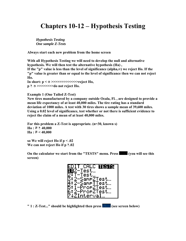# **Chapters 10-12 – Hypothesis Testing**

*Hypothesis Testing One sample Z-Tests* 

**Always start each new problem from the home screen** 

**With all Hypothesis Testing we will need to develop the null and alternative hypothesis. We will then test the alternative hypothesis (Ha) , If the "p" value is less than the level of significance (alpha, ) we reject Ho. If the "p" value is greater than or equal to the level of significance then we can not reject Ho.** 

In short:  $p < \alpha \gg>>>>>>>>>>=$  reject Ho,  $p \geq \alpha \gg>>>>>d$ o not reject Ho.

**Example 1 (One Tailed Z-Test)** 

**New tires manufactured by a company outside Ocala, Fl. , are designed to provide a mean life expectancy of at least 40,000 miles. The tire rating has a standard deviation of 1000 miles. A test with 30 tires shows a sample mean of 39,600 miles. Using a 0.02 level of significance, test whether or not there is sufficient evidence to reject the claim of a mean of at least 40,000 miles.** 

**For this problem a Z-Test is appropriate. (n=30, known s)**   $H_0$ :  $\mu \ge 40,000$  $Ha: \mu < 40,000$ 

**so We will reject Ho if p < .02 We can not reject Ho if**  $p \ge 02$ 

**On the calculator we start from the "TESTS" menu. Press**  $\blacksquare$  (you will see this **screen)** 



**"** 1 : **Z**-Test..." should be highlighted then press **(i)** (see screen below)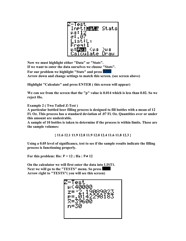| -Test<br>Inpt:105定                | -Stats |
|-----------------------------------|--------|
| $\mu$ o:1 $2$<br>σ:.07<br>List:Lı |        |
| Freg:1<br>$\leq$ $\mu$ o          | >и в   |
| 内部面<br>lculate                    | ~aw    |

**Now we must highlight either "Data" or "Stats". If we want to enter the data ourselves we choose "Stats". For our problem we highlight "Stats" and press Arrow down and change settings to match this screen. (see screen above)** 

**Highlight "Calculate" and press ENTER ( this screen will appear)** 

**We can see from the screen that the "p" value is 0.014 which is less than 0.02. So we reject Ho.** 

**Example 2 ( Two Tailed Z-Test )** 

**A particular bottled beer filling process is designed to fill bottles with a mean of 12 Fl. Oz. This process has a standard deviation of .07 Fl. Oz. Quantities over or under this amount are undesirable.** 

**A sample of 10 bottles is taken to determine if the process is within limits. These are the sample volumes:** 

**{ 11.6 12.1 11.9 12.8 11.9 12.0 12.4 11.6 11.8 12.3 }** 

**Using a 0.05 level of significance, test to see if the sample results indicate the filling process is functioning properly.** 

For this problem: Ho:  $\mu = 12$ ; Ha:  $\mu \neq 12$ 

**On the calculator we will first enter the data into LIST1. Next we will go to the "TESTS" menu. So press Arrow right to "TESTS"( you will see this screen)** 

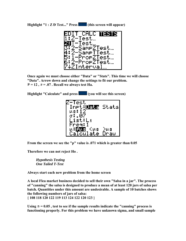**Highlight "1 : Z Ð Test..." Press <b>(this screen will appear)** 



**Once again we must choose either "Data" or "Stats". This time we will choose "Data". Arrow down and change the settings to fit our problem.**   $\mu = 12$ ,  $\sigma = .07$ . Recall we always test Ha.

**Highlight "Calculate" and press (you will see this screen)** 



**From the screen we see the "p" value is .071 which is greater than 0.05** 

**Therefore we can not reject Ho .** 

*Hypothesis Testing One Tailed T-Test* 

**Always start each new problem from the home screen** 

**A local Flea market business decided to sell their own "Salsa in a jar". The process of "canning" the salsa is designed to produce a mean of at least 120 jars of salsa per batch. Quantities under this amount are undesirable. A sample of 10 batches shows the following numbers of jars of salsa:** 

**{ 108 118 120 122 119 113 124 122 120 123 }** 

Using  $\alpha = 0.05$ , test to see if the sample results indicate the "canning" process is **functioning properly. For this problem we have unknown sigma, and small sample**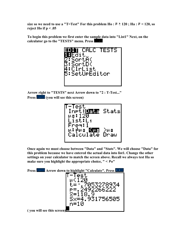size so we need to use a "T=Test" For this problem Ho :  $\mu \ge 120$ ; Ha :  $\mu$  < 120, so **reject Ho if p < .05** 

**To begin this problem we first enter the sample data into "List1" Next, on the calculator go to the "TESTS" menu. Press** 



**Arrow right to "TESTS" next Arrow down to "2 : T-Test..." Press (you will see this screen)** 



**Once again we must choose between "Data" and "Stats". We will choose "Data" for this problem because we have entered the actual data into list1. Change the other settings on your calculator to match the screen above. Recall we always test Ha so**  make sure you highlight the appropriate choice,  $" < \mu_0"$ 

**Press Arrow down to highlight "Calculate". Press II ( you will see this screen)**